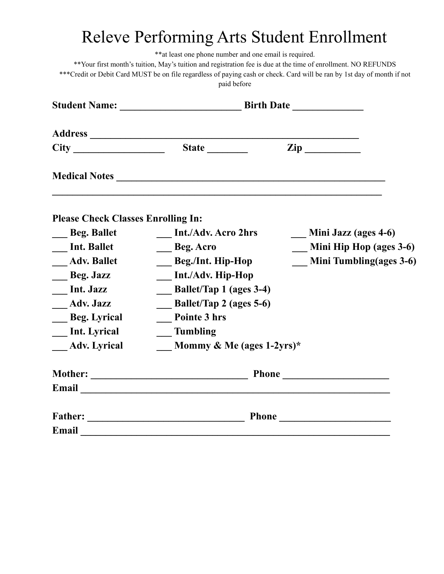## Releve Performing Arts Student Enrollment

\*\*at least one phone number and one email is required.

\*\*Your first month's tuition, May's tuition and registration fee is due at the time of enrollment. NO REFUNDS \*\*\*Credit or Debit Card MUST be on file regardless of paying cash or check. Card will be ran by 1st day of month if not paid before

|                                           | State ________                 | $\mathbf{Zip}$              |
|-------------------------------------------|--------------------------------|-----------------------------|
|                                           |                                |                             |
| <b>Please Check Classes Enrolling In:</b> |                                |                             |
| Beg. Ballet                               | <b>Int./Adv. Acro 2hrs</b>     | <b>Mini Jazz (ages 4-6)</b> |
| <b>Int. Ballet</b>                        | <b>Beg. Acro</b>               | Mini Hip Hop (ages 3-6)     |
| <b>Adv. Ballet</b>                        | Beg./Int. Hip-Hop              | Mini Tumbling(ages 3-6)     |
| Beg. Jazz                                 | <b>Int./Adv. Hip-Hop</b>       |                             |
| Int. Jazz                                 | <b>Ballet/Tap 1 (ages 3-4)</b> |                             |
| <b>Adv. Jazz</b>                          | <b>Ballet/Tap 2 (ages 5-6)</b> |                             |
| <b>Beg.</b> Lyrical                       | <b>Pointe 3 hrs</b>            |                             |
| <b>Int. Lyrical</b>                       | <b>Tumbling</b>                |                             |
| <b>Adv.</b> Lyrical                       | Mommy & Me (ages 1-2yrs)*      |                             |
|                                           |                                |                             |
|                                           |                                |                             |
|                                           |                                | <b>Phone</b> Phone          |
| Email                                     |                                |                             |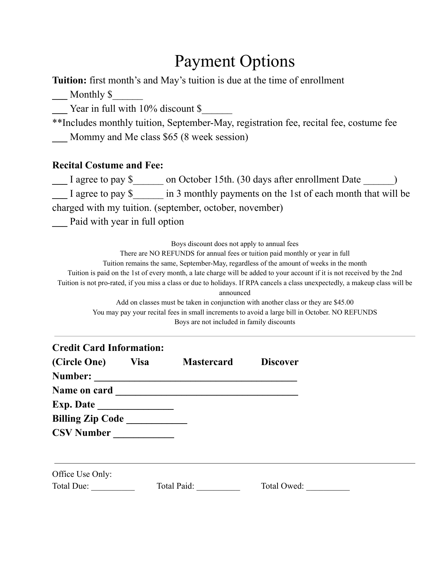## Payment Options

**Tuition:** first month's and May's tuition is due at the time of enrollment

**\_\_\_** Monthly \$\_\_\_\_\_\_

**\_\_\_** Year in full with 10% discount \$\_\_\_\_\_\_

\*\*Includes monthly tuition, September-May, registration fee, recital fee, costume fee **\_\_\_** Mommy and Me class \$65 (8 week session)

### **Recital Costume and Fee:**

**\_\_\_** I agree to pay \$\_\_\_\_\_\_ on October 15th. (30 days after enrollment Date \_\_\_\_\_\_) **\_\_\_** I agree to pay \$\_\_\_\_\_\_ in 3 monthly payments on the 1st of each month that will be charged with my tuition. (september, october, november)

**\_\_\_** Paid with year in full option

Boys discount does not apply to annual fees

There are NO REFUNDS for annual fees or tuition paid monthly or year in full Tuition remains the same, September-May, regardless of the amount of weeks in the month Tuition is paid on the 1st of every month, a late charge will be added to your account if it is not received by the 2nd Tuition is not pro-rated, if you miss a class or due to holidays. If RPA cancels a class unexpectedly, a makeup class will be announced

Add on classes must be taken in conjunction with another class or they are \$45.00 You may pay your recital fees in small increments to avoid a large bill in October. NO REFUNDS Boys are not included in family discounts

| <b>Credit Card Information:</b> |             |                   |                 |  |
|---------------------------------|-------------|-------------------|-----------------|--|
| (Circle One)                    | <b>Visa</b> | <b>Mastercard</b> | <b>Discover</b> |  |
| Number:                         |             |                   |                 |  |
|                                 |             |                   |                 |  |
|                                 |             |                   |                 |  |
| <b>Billing Zip Code_</b>        |             |                   |                 |  |
| <b>CSV Number</b>               |             |                   |                 |  |
| Office Use Only:                |             |                   |                 |  |
| Total Due:                      |             | Total Paid:       | Total Owed:     |  |